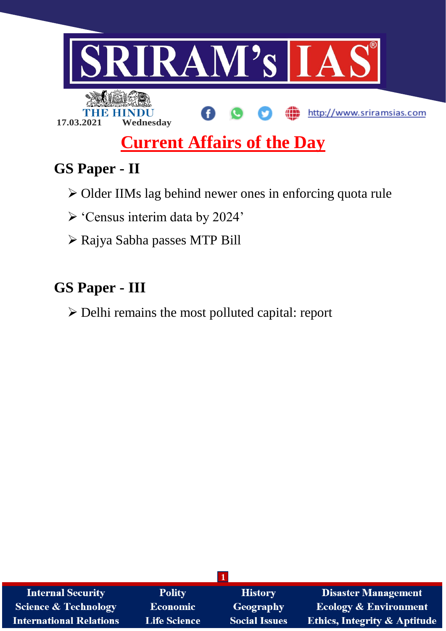

# **Current Affairs of the Day**

# **GS Paper - II**

- Older IIMs lag behind newer ones in enforcing quota rule
- 'Census interim data by 2024'
- Rajya Sabha passes MTP Bill

# **GS Paper - III**

Delhi remains the most polluted capital: report

| <b>Internal Security</b>        | <b>Polity</b>       | <b>History</b>       | <b>Disaster Management</b>              |
|---------------------------------|---------------------|----------------------|-----------------------------------------|
| <b>Science &amp; Technology</b> | <b>Economic</b>     | Geography            | <b>Ecology &amp; Environment</b>        |
| <b>International Relations</b>  | <b>Life Science</b> | <b>Social Issues</b> | <b>Ethics, Integrity &amp; Aptitude</b> |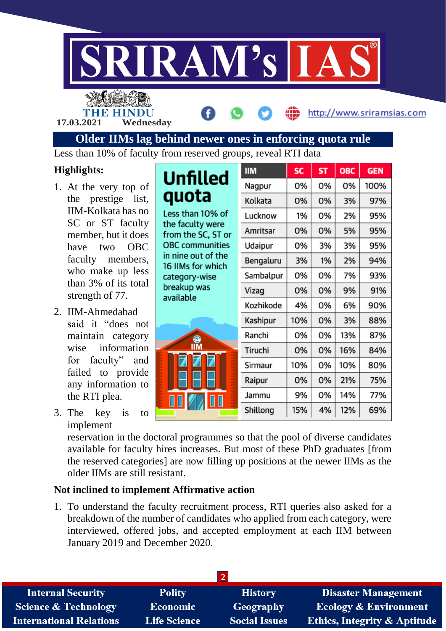

THE HINDU

**17.03.2021 Wednesday**

**Older IIMs lag behind newer ones in enforcing quota rule**

### **Highlights:**

- 1. At the very top of the prestige list, IIM-Kolkata has no SC or ST faculty member, but it does have two OBC faculty members, who make up less than 3% of its total strength of 77.
- 2. IIM-Ahmedabad said it "does not maintain category wise information for faculty" and failed to provide any information to the RTI plea.
- 3. The key is to implement

reservation in the doctoral programmes so that the pool of diverse candidates available for faculty hires increases. But most of these PhD graduates [from the reserved categories] are now filling up positions at the newer IIMs as the older IIMs are still resistant.

### **Not inclined to implement Affirmative action**

1. To understand the faculty recruitment process, RTI queries also asked for a breakdown of the number of candidates who applied from each category, were interviewed, offered jobs, and accepted employment at each IIM between January 2019 and December 2020.

| <b>Internal Security</b>        | <b>Polity</b>       | <b>History</b>       | <b>Disaster Management</b>              |
|---------------------------------|---------------------|----------------------|-----------------------------------------|
| <b>Science &amp; Technology</b> | <b>Economic</b>     | Geography            | <b>Ecology &amp; Environment</b>        |
| <b>International Relations</b>  | <b>Life Science</b> | <b>Social Issues</b> | <b>Ethics, Integrity &amp; Aptitude</b> |

|                                         | <b>IIM</b> | <b>SC</b> | <b>ST</b> | ОВС | <b>GEN</b> |
|-----------------------------------------|------------|-----------|-----------|-----|------------|
| Unfilled                                | Nagpur     | 0%        | 0%        | 0%  | 100%       |
| quota                                   | Kolkata    | 0%        | 0%        | 3%  | 97%        |
| Less than 10% of                        | Lucknow    | 1%        | 0%        | 2%  | 95%        |
| the faculty were<br>from the SC, ST or  | Amritsar   | 0%        | 0%        | 5%  | 95%        |
| <b>OBC</b> communities                  | Udaipur    | 0%        | 3%        | 3%  | 95%        |
| in nine out of the<br>16 IIMs for which | Bengaluru  | 3%        | 1%        | 2%  | 94%        |
| category-wise                           | Sambalpur  | 0%        | 0%        | 7%  | 93%        |
| breakup was                             | Vizag      | 0%        | 0%        | 9%  | 91%        |
| available                               | Kozhikode  | 4%        | 0%        | 6%  | 90%        |
|                                         | Kashipur   | 10%       | 0%        | 3%  | 88%        |
|                                         | Ranchi     | 0%        | 0%        | 13% | 87%        |
| ▓<br>Z                                  | Tiruchi    | 0%        | 0%        | 16% | 84%        |
|                                         | Sirmaur    | 10%       | 0%        | 10% | 80%        |
|                                         | Raipur     | 0%        | 0%        | 21% | 75%        |
|                                         | Jammu      | 9%        | 0%        | 14% | 77%        |
|                                         | Shillong   | 15%       | 4%        | 12% | 69%        |
|                                         |            |           |           |     |            |

http://www.sriramsias.com

Less than 10% of faculty from reserved groups, reveal RTI data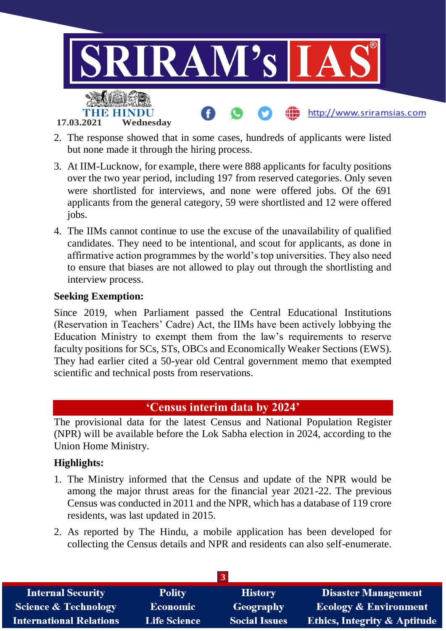

- 2. The response showed that in some cases, hundreds of applicants were listed but none made it through the hiring process.
- 3. At IIM-Lucknow, for example, there were 888 applicants for faculty positions over the two year period, including 197 from reserved categories. Only seven were shortlisted for interviews, and none were offered jobs. Of the 691 applicants from the general category, 59 were shortlisted and 12 were offered jobs.
- 4. The IIMs cannot continue to use the excuse of the unavailability of qualified candidates. They need to be intentional, and scout for applicants, as done in affirmative action programmes by the world's top universities. They also need to ensure that biases are not allowed to play out through the shortlisting and interview process.

#### **Seeking Exemption:**

Since 2019, when Parliament passed the Central Educational Institutions (Reservation in Teachers' Cadre) Act, the IIMs have been actively lobbying the Education Ministry to exempt them from the law's requirements to reserve faculty positions for SCs, STs, OBCs and Economically Weaker Sections (EWS). They had earlier cited a 50-year old Central government memo that exempted scientific and technical posts from reservations.

### **'Census interim data by 2024'**

The provisional data for the latest Census and National Population Register (NPR) will be available before the Lok Sabha election in 2024, according to the Union Home Ministry.

#### **Highlights:**

- 1. The Ministry informed that the Census and update of the NPR would be among the major thrust areas for the financial year 2021-22. The previous Census was conducted in 2011 and the NPR, which has a database of 119 crore residents, was last updated in 2015.
- 2. As reported by The Hindu, a mobile application has been developed for collecting the Census details and NPR and residents can also self-enumerate.

| <b>Internal Security</b>        | <b>Polity</b>       | <b>History</b>       | <b>Disaster Management</b>              |
|---------------------------------|---------------------|----------------------|-----------------------------------------|
| <b>Science &amp; Technology</b> | <b>Economic</b>     | Geography            | <b>Ecology &amp; Environment</b>        |
| <b>International Relations</b>  | <b>Life Science</b> | <b>Social Issues</b> | <b>Ethics, Integrity &amp; Aptitude</b> |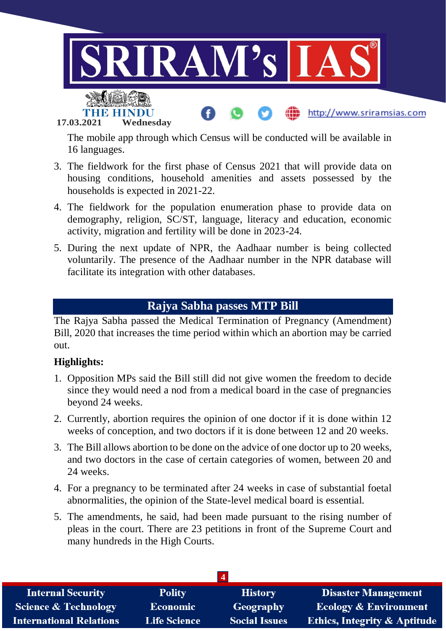

**17.03.2021 Wednesday**

The mobile app through which Census will be conducted will be available in 16 languages.

- 3. The fieldwork for the first phase of Census 2021 that will provide data on housing conditions, household amenities and assets possessed by the households is expected in 2021-22.
- 4. The fieldwork for the population enumeration phase to provide data on demography, religion, SC/ST, language, literacy and education, economic activity, migration and fertility will be done in 2023-24.
- 5. During the next update of NPR, the Aadhaar number is being collected voluntarily. The presence of the Aadhaar number in the NPR database will facilitate its integration with other databases.

## **Rajya Sabha passes MTP Bill**

The Rajya Sabha passed the Medical Termination of Pregnancy (Amendment) Bill, 2020 that increases the time period within which an abortion may be carried out.

#### **Highlights:**

- 1. Opposition MPs said the Bill still did not give women the freedom to decide since they would need a nod from a medical board in the case of pregnancies beyond 24 weeks.
- 2. Currently, abortion requires the opinion of one doctor if it is done within 12 weeks of conception, and two doctors if it is done between 12 and 20 weeks.
- 3. The Bill allows abortion to be done on the advice of one doctor up to 20 weeks, and two doctors in the case of certain categories of women, between 20 and 24 weeks.
- 4. For a pregnancy to be terminated after 24 weeks in case of substantial foetal abnormalities, the opinion of the State-level medical board is essential.
- 5. The amendments, he said, had been made pursuant to the rising number of pleas in the court. There are 23 petitions in front of the Supreme Court and many hundreds in the High Courts.

| <b>Internal Security</b>        | <b>Polity</b>       | <b>History</b>       | <b>Disaster Management</b>              |
|---------------------------------|---------------------|----------------------|-----------------------------------------|
| <b>Science &amp; Technology</b> | <b>Economic</b>     | Geography            | <b>Ecology &amp; Environment</b>        |
| <b>International Relations</b>  | <b>Life Science</b> | <b>Social Issues</b> | <b>Ethics, Integrity &amp; Aptitude</b> |